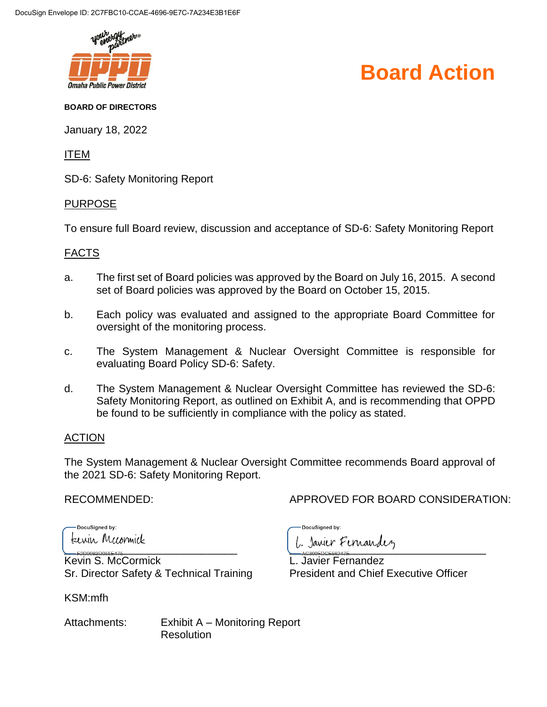

## **Board Action**

#### **BOARD OF DIRECTORS**

January 18, 2022

ITEM

SD-6: Safety Monitoring Report

#### PURPOSE

To ensure full Board review, discussion and acceptance of SD-6: Safety Monitoring Report

### FACTS

- a. The first set of Board policies was approved by the Board on July 16, 2015. A second set of Board policies was approved by the Board on October 15, 2015.
- b. Each policy was evaluated and assigned to the appropriate Board Committee for oversight of the monitoring process.
- c. The System Management & Nuclear Oversight Committee is responsible for evaluating Board Policy SD-6: Safety.
- d. The System Management & Nuclear Oversight Committee has reviewed the SD-6: Safety Monitoring Report, as outlined on Exhibit A, and is recommending that OPPD be found to be sufficiently in compliance with the policy as stated.

## ACTION

The System Management & Nuclear Oversight Committee recommends Board approval of the 2021 SD-6: Safety Monitoring Report.

DocuSigned by: terrin Mccormick

Kevin S. McCormick L. Javier Fernandez Sr. Director Safety & Technical Training President and Chief Executive Officer

KSM:mfh

RECOMMENDED: APPROVED FOR BOARD CONSIDERATION:

DocuSigned by:

 $\overbrace{1}$ 

Attachments: Exhibit A – Monitoring Report **Resolution**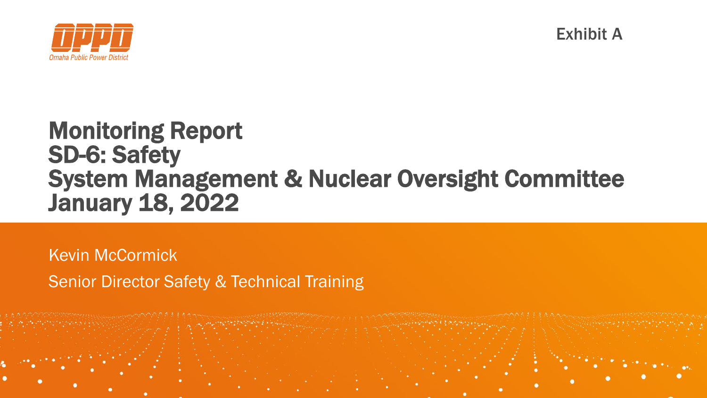

Exhibit A

# Monitoring Report SD-6: Safety System Management & Nuclear Oversight Committee January 18, 2022

Kevin McCormick Senior Director Safety & Technical Training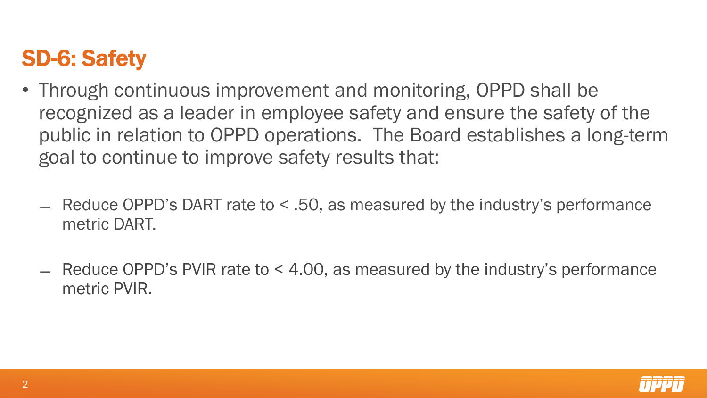# SD-6: Safety

- Through continuous improvement and monitoring, OPPD shall be recognized as a leader in employee safety and ensure the safety of the public in relation to OPPD operations. The Board establishes a long-term goal to continue to improve safety results that:
	- ̶ Reduce OPPD's DART rate to < .50, as measured by the industry's performance metric DART.
	- ̶ Reduce OPPD's PVIR rate to < 4.00, as measured by the industry's performance metric PVIR.

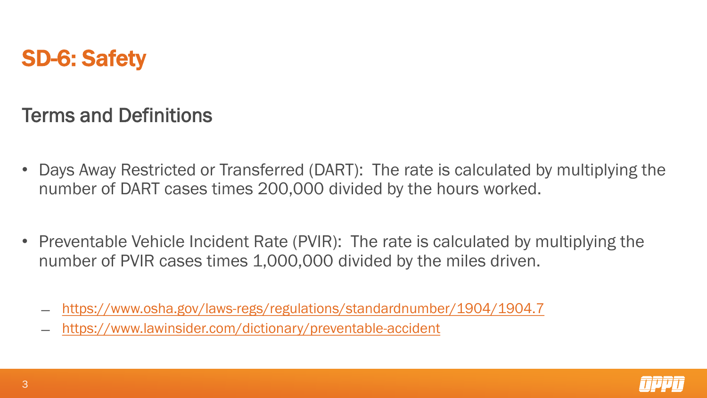# SD-6: Safety

Terms and Definitions

- Days Away Restricted or Transferred (DART): The rate is calculated by multiplying the number of DART cases times 200,000 divided by the hours worked.
- Preventable Vehicle Incident Rate (PVIR): The rate is calculated by multiplying the number of PVIR cases times 1,000,000 divided by the miles driven.
	- <https://www.osha.gov/laws-regs/regulations/standardnumber/1904/1904.7>
	- ̶ <https://www.lawinsider.com/dictionary/preventable-accident>

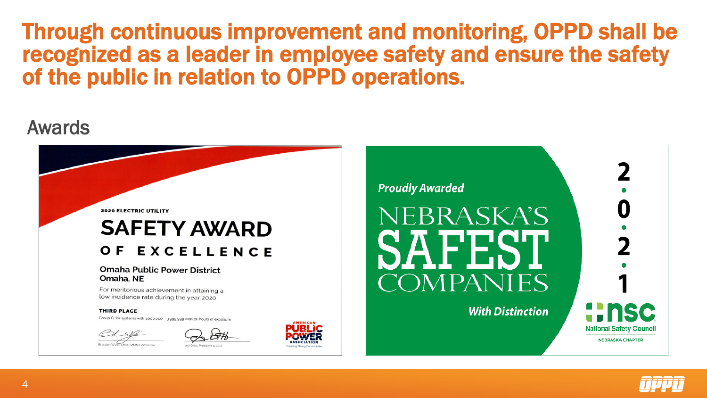## Through continuous improvement and monitoring, OPPD shall be recognized as a leader in employee safety and ensure the safety of the public in relation to OPPD operations.

## Awards



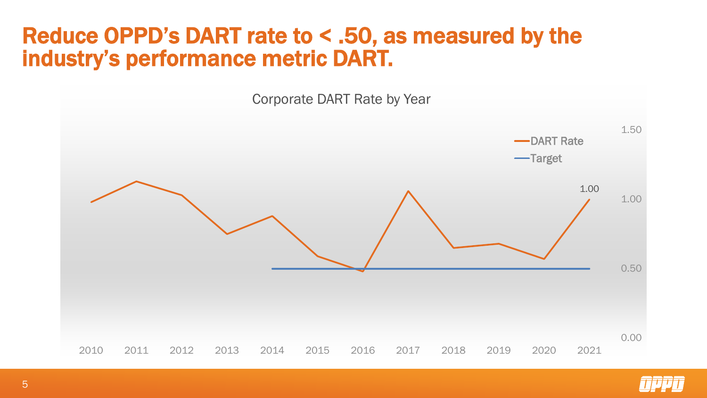# Reduce OPPD's DART rate to < .50, as measured by the industry's performance metric DART.



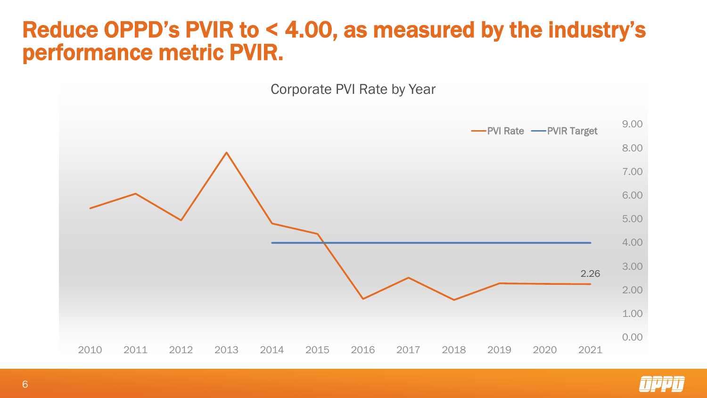# Reduce OPPD's PVIR to < 4.00, as measured by the industry's performance metric PVIR.

Corporate PVI Rate by Year



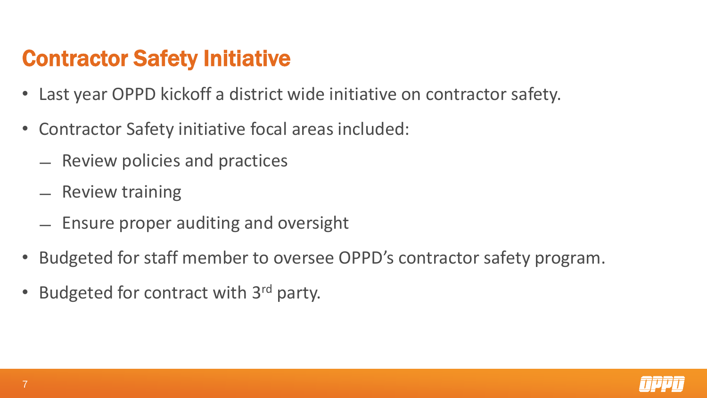# Contractor Safety Initiative

- Last year OPPD kickoff a district wide initiative on contractor safety.
- Contractor Safety initiative focal areas included:
	- ̶ Review policies and practices
	- ̶ Review training
	- ̶ Ensure proper auditing and oversight
- Budgeted for staff member to oversee OPPD's contractor safety program.
- Budgeted for contract with 3<sup>rd</sup> party.

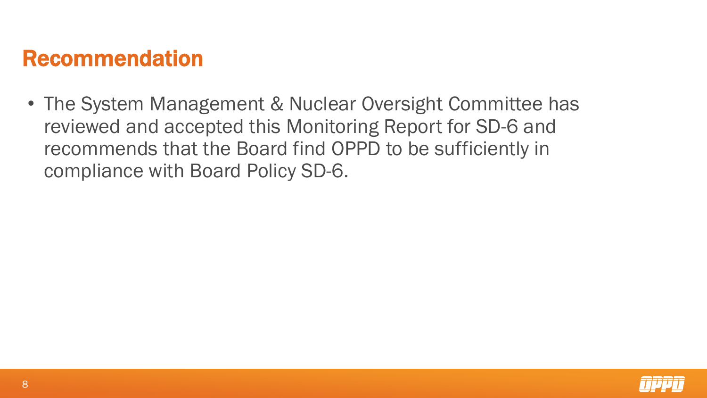# Recommendation

• The System Management & Nuclear Oversight Committee has reviewed and accepted this Monitoring Report for SD-6 and recommends that the Board find OPPD to be sufficiently in compliance with Board Policy SD-6.